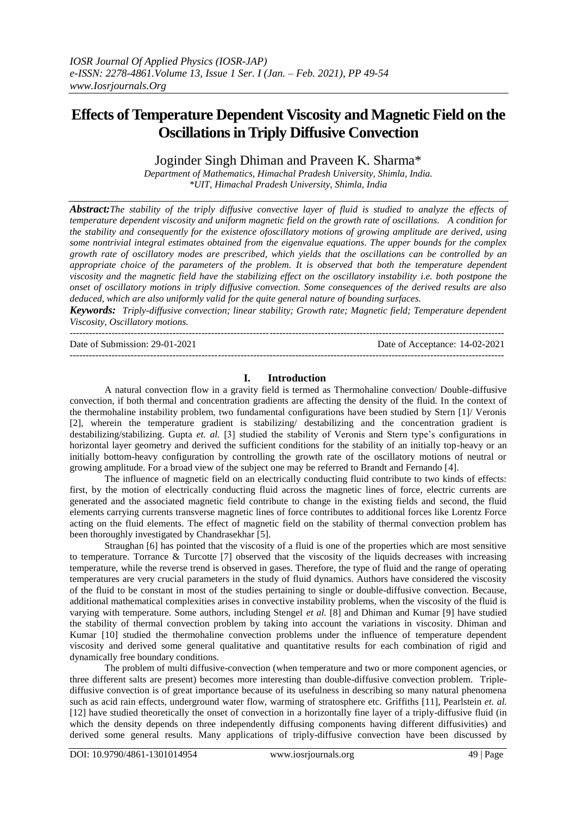---------------------------------------------------------------------------------------------------------------------------------------

# **Effects of Temperature Dependent Viscosity and Magnetic Field on the Oscillations in Triply Diffusive Convection**

Joginder Singh Dhiman and Praveen K. Sharma\*

*Department of Mathematics, Himachal Pradesh University, Shimla, India. \*UIT, Himachal Pradesh University, Shimla, India*

*Abstract:The stability of the triply diffusive convective layer of fluid is studied to analyze the effects of temperature dependent viscosity and uniform magnetic field on the growth rate of oscillations. A condition for the stability and consequently for the existence ofoscillatory motions of growing amplitude are derived, using some nontrivial integral estimates obtained from the eigenvalue equations. The upper bounds for the complex growth rate of oscillatory modes are prescribed, which yields that the oscillations can be controlled by an appropriate choice of the parameters of the problem. It is observed that both the temperature dependent viscosity and the magnetic field have the stabilizing effect on the oscillatory instability i.e. both postpone the onset of oscillatory motions in triply diffusive convection. Some consequences of the derived results are also deduced, which are also uniformly valid for the quite general nature of bounding surfaces.* 

*Keywords: Triply-diffusive convection; linear stability; Growth rate; Magnetic field; Temperature dependent Viscosity, Oscillatory motions.*

Date of Submission: 29-01-2021 Date of Acceptance: 14-02-2021 ---------------------------------------------------------------------------------------------------------------------------------------

## **I. Introduction**

A natural convection flow in a gravity field is termed as Thermohaline convection/ Double-diffusive convection, if both thermal and concentration gradients are affecting the density of the fluid. In the context of the thermohaline instability problem, two fundamental configurations have been studied by Stern [1]/ Veronis [2], wherein the temperature gradient is stabilizing/ destabilizing and the concentration gradient is destabilizing/stabilizing. Gupta *et. al.* [3] studied the stability of Veronis and Stern type's configurations in horizontal layer geometry and derived the sufficient conditions for the stability of an initially top-heavy or an initially bottom-heavy configuration by controlling the growth rate of the oscillatory motions of neutral or growing amplitude. For a broad view of the subject one may be referred to Brandt and Fernando [4].

The influence of magnetic field on an electrically conducting fluid contribute to two kinds of effects: first, by the motion of electrically conducting fluid across the magnetic lines of force, electric currents are generated and the associated magnetic field contribute to change in the existing fields and second, the fluid elements carrying currents transverse magnetic lines of force contributes to additional forces like Lorentz Force acting on the fluid elements. The effect of magnetic field on the stability of thermal convection problem has been thoroughly investigated by Chandrasekhar [5].

Straughan [6] has pointed that the viscosity of a fluid is one of the properties which are most sensitive to temperature. Torrance & Turcotte [7] observed that the viscosity of the liquids decreases with increasing temperature, while the reverse trend is observed in gases. Therefore, the type of fluid and the range of operating temperatures are very crucial parameters in the study of fluid dynamics. Authors have considered the viscosity of the fluid to be constant in most of the studies pertaining to single or double-diffusive convection. Because, additional mathematical complexities arises in convective instability problems, when the viscosity of the fluid is varying with temperature. Some authors, including Stengel *et al.* [8] and Dhiman and Kumar [9] have studied the stability of thermal convection problem by taking into account the variations in viscosity. Dhiman and Kumar [10] studied the thermohaline convection problems under the influence of temperature dependent viscosity and derived some general qualitative and quantitative results for each combination of rigid and dynamically free boundary conditions.

The problem of multi diffusive-convection (when temperature and two or more component agencies, or three different salts are present) becomes more interesting than double-diffusive convection problem. Triplediffusive convection is of great importance because of its usefulness in describing so many natural phenomena such as acid rain effects, underground water flow, warming of stratosphere etc. Griffiths [11], Pearlstein *et. al.* [12] have studied theoretically the onset of convection in a horizontally fine layer of a triply-diffusive fluid (in which the density depends on three independently diffusing components having different diffusivities) and derived some general results. Many applications of triply-diffusive convection have been discussed by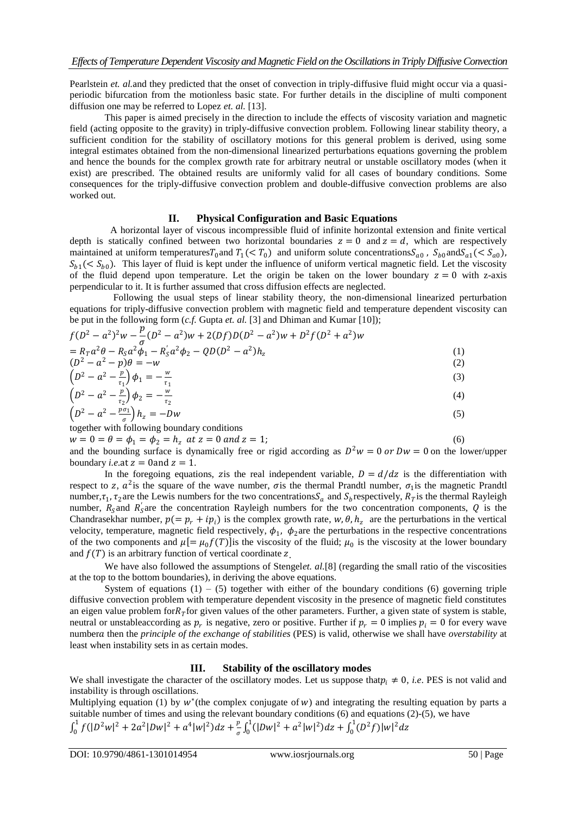Pearlstein *et. al.*and they predicted that the onset of convection in triply-diffusive fluid might occur via a quasiperiodic bifurcation from the motionless basic state. For further details in the discipline of multi component diffusion one may be referred to Lopez *et. al.* [13].

This paper is aimed precisely in the direction to include the effects of viscosity variation and magnetic field (acting opposite to the gravity) in triply-diffusive convection problem. Following linear stability theory, a sufficient condition for the stability of oscillatory motions for this general problem is derived, using some integral estimates obtained from the non-dimensional linearized perturbations equations governing the problem and hence the bounds for the complex growth rate for arbitrary neutral or unstable oscillatory modes (when it exist) are prescribed. The obtained results are uniformly valid for all cases of boundary conditions. Some consequences for the triply-diffusive convection problem and double-diffusive convection problems are also worked out.

## **II. Physical Configuration and Basic Equations**

A horizontal layer of viscous incompressible fluid of infinite horizontal extension and finite vertical depth is statically confined between two horizontal boundaries  $z = 0$  and  $z = d$ , which are respectively maintained at uniform temperatures  $T_0$  and  $T_1$  (<  $T_0$ ) and uniform solute concentrations  $S_{a0}$ ,  $S_{b0}$  and  $S_{a1}$  (<  $S_{a0}$ ),  $S_{b1}(< S_{b0})$ . This layer of fluid is kept under the influence of uniform vertical magnetic field. Let the viscosity of the fluid depend upon temperature. Let the origin be taken on the lower boundary  $z = 0$  with z-axis perpendicular to it. It is further assumed that cross diffusion effects are neglected.

Following the usual steps of linear stability theory, the non-dimensional linearized perturbation equations for triply-diffusive convection problem with magnetic field and temperature dependent viscosity can be put in the following form (*c.f.* Gupta *et. al.* [3] and Dhiman and Kumar [10]);

$$
f(D^2 - a^2)^2 w - \frac{p}{\sigma}(D^2 - a^2)w + 2(Df)D(D^2 - a^2)w + D^2f(D^2 + a^2)w
$$
  
=  $R_T a^2 \theta - R_S a^2 \phi_1 - R_S' a^2 \phi_2 - QD(D^2 - a^2)h_z$   
( $D^2 - a^2 - p)\theta = -w$   
( $D^2 - a^2 - \frac{p}{\tau_1}$ ) $\phi_1 = -\frac{w}{\tau_1}$   
( $D^2 - a^2 - p)\phi_1 = -\frac{w}{\tau_1}$   
( $D^2 - a^2 - p)\phi_1 = -\frac{w}{\tau_1}$   
( $D^2 - a^2 - p)\phi_1 = -\frac{w}{\tau_1}$   
( $D^2 - a^2 - p)\phi_1 = -\frac{w}{\tau_1}$ 

$$
\left(D^2 - a^2 - \frac{p}{r_2}\right)\phi_2 = -\frac{w}{r_2}
$$
\n(4)

$$
\left(D^2 - a^2 - \frac{p\sigma_1}{\sigma}\right)h_z = -Dw\tag{5}
$$
together with following boundary conditions

together with following boundary conditions  $w = 0 = \theta = \phi_1 = \phi_2 = h_z$  at  $z = 0$  and  $z = 1$ ; (6)

and the bounding surface is dynamically free or rigid according as  $D^2w = 0$  or  $Dw = 0$  on the lower/upper boundary *i.e.*at  $z = 0$  and  $z = 1$ .

In the foregoing equations, z is the real independent variable,  $D = d/dz$  is the differentiation with respect to z,  $a^2$  is the square of the wave number,  $\sigma$  is the thermal Prandtl number,  $\sigma_1$  is the magnetic Prandtl number,  $\tau_1$ ,  $\tau_2$  are the Lewis numbers for the two concentrations  $S_a$  and  $S_b$  respectively,  $R_t$  is the thermal Rayleigh number,  $R_s$  and  $R_s$  are the concentration Rayleigh numbers for the two concentration components, Q is the Chandrasekhar number,  $p(= p_r + ip_i)$  is the complex growth rate,  $w, \theta, h_z$  are the perturbations in the vertical velocity, temperature, magnetic field respectively,  $\phi_1$ ,  $\phi_2$  are the perturbations in the respective concentrations of the two components and  $\mu$ [=  $\mu$ <sub>0</sub> $f(T)$ ] is the viscosity of the fluid;  $\mu$ <sub>0</sub> is the viscosity at the lower boundary and  $f(T)$  is an arbitrary function of vertical coordinate z.

We have also followed the assumptions of Stengelet. al.<sup>[8]</sup> (regarding the small ratio of the viscosities at the top to the bottom boundaries), in deriving the above equations.

System of equations  $(1) - (5)$  together with either of the boundary conditions (6) governing triple diffusive convection problem with temperature dependent viscosity in the presence of magnetic field constitutes an eigen value problem for $R<sub>T</sub>$  for given values of the other parameters. Further, a given state of system is stable, neutral or unstableaccording as  $p_r$  is negative, zero or positive. Further if  $p_r = 0$  implies  $p_i = 0$  for every wave number a then the *principle of the exchange of stabilities* (PES) is valid, otherwise we shall have *overstability* at least when instability sets in as certain modes.

## **III. Stability of the oscillatory modes**

We shall investigate the character of the oscillatory modes. Let us suppose that  $p_i \neq 0$ , *i.e.* PES is not valid and instability is through oscillations.

Multiplying equation (1) by  $w^*$  (the complex conjugate of  $w$ ) and integrating the resulting equation by parts a suitable number of times and using the relevant boundary conditions (6) and equations (2)-(5), we have  $\int_0^1 f(|D^2w|^2 + 2a^2|Dw|^2 + a^4|w|^2)dz$  $\int_0^1 f(|D^2w|^2 + 2a^2|Dw|^2 + a^4|w|^2)dz + \frac{p}{\sigma}$  $\frac{p}{\sigma}\int_0^1(|Dw|^2 + a^2|w|^2)dz$  $\int_0^1 (|Dw|^2 + a^2 |w|^2) dz + \int_0^1 (D^2 f) |w|^2 dz$ 0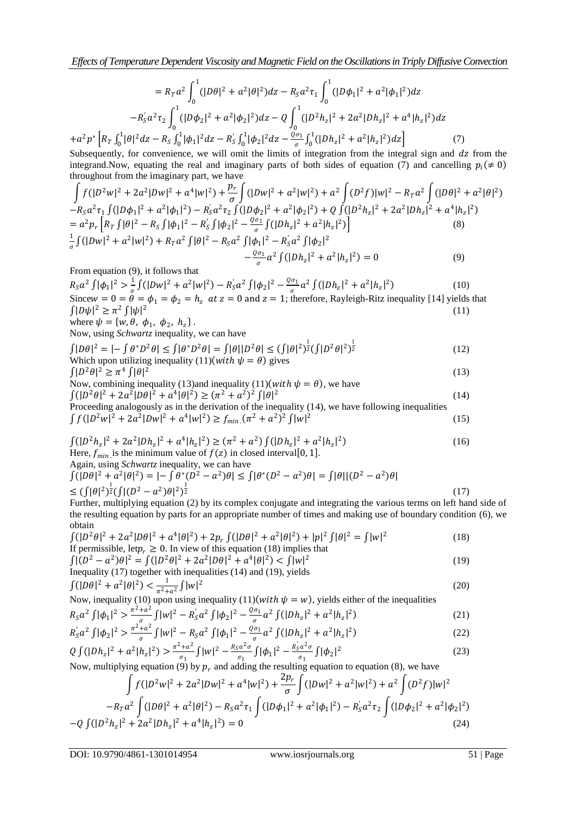*Effects of Temperature Dependent Viscosity and Magnetic Field on the Oscillations in Triply Diffusive Convection*

$$
= R_{T}a^{2}\int_{0}^{1}(|D\theta|^{2} + a^{2}|\theta|^{2})dz - R_{S}a^{2}\tau_{1}\int_{0}^{1}(|D\phi_{1}|^{2} + a^{2}|\phi_{1}|^{2})dz
$$

$$
-R_{S}^{'}a^{2}\tau_{2}\int_{0}^{1}(|D\phi_{2}|^{2} + a^{2}|\phi_{2}|^{2})dz - Q\int_{0}^{1}(|D^{2}h_{z}|^{2} + 2a^{2}|Dh_{z}|^{2} + a^{4}|h_{z}|^{2})dz
$$

$$
+a^{2}p^{*}\left[R_{T}\int_{0}^{1}|\theta|^{2}dz - R_{S}\int_{0}^{1}|\phi_{1}|^{2}dz - R_{S}^{'}\int_{0}^{1}|\phi_{2}|^{2}dz - \frac{Q\sigma_{1}}{\sigma}\int_{0}^{1}(|Dh_{z}|^{2} + a^{2}|h_{z}|^{2})dz\right]
$$
(7)

Subsequently, for convenience, we will omit the limits of integration from the integral sign and  $dz$  from the integrand. Now, equating the real and imaginary parts of both sides of equation (7) and cancelling  $p_i (\neq 0)$ throughout from the imaginary part, we have

$$
\int f(|D^2w|^2 + 2a^2|Dw|^2 + a^4|w|^2) + \frac{p_r}{\sigma} \int (|Dw|^2 + a^2|w|^2) + a^2 \int (D^2f)|w|^2 - R_T a^2 \int (|D\theta|^2 + a^2|\theta|^2) \n-R_S a^2 \tau_1 \int (|D\phi_1|^2 + a^2|\phi_1|^2) - R_S' a^2 \tau_2 \int (|D\phi_2|^2 + a^2|\phi_2|^2) + Q \int (|D^2h_z|^2 + 2a^2|Dh_z|^2 + a^4|h_z|^2) \n= a^2 p_r \left[ R_T \int |\theta|^2 - R_S \int |\phi_1|^2 - R_S' \int |\phi_2|^2 - \frac{\varrho \sigma_1}{\sigma} \int (|Dh_z|^2 + a^2|h_z|^2) \right] \n= \frac{1}{\sigma} \int (|Dw|^2 + a^2|w|^2) + R_T a^2 \int |\theta|^2 - R_S a^2 \int |\phi_1|^2 - R_S' a^2 \int |\phi_2|^2 \n- \frac{\varrho \sigma_1}{\sigma} a^2 \int (|Dh_z|^2 + a^2|h_z|^2) = 0
$$
\n(9)

From equation (9), it follows that

 $R_S a^2 \int |\phi_1|^2 > \frac{1}{a}$  $\frac{1}{\sigma}\int (|Dw|^2 + a^2|w|^2) - R_S \cdot a^2 \int |\phi_2|^2 - \frac{Q\sigma_1}{\sigma}$  $\int_{\sigma}^{\sigma_1} a^2 \int (|Dh_z|^2 + a^2 |h_z|^2)$  (10) Since  $w = 0 = \theta = \phi_1 = \phi_2 = h_z$  at  $z = 0$  and  $z = 1$ ; therefore, Rayleigh-Ritz inequality [14] yields that  $\int |D\psi|^2 \geq \pi^2 \int |\psi|^2$ (11)

where 
$$
\psi = \{w, \theta, \phi_1, \phi_2, h_z\}
$$
.  
Now, using *Schwartz* inequality, we can have

$$
\int |D\theta|^2 = \left| -\int \theta^* D^2 \theta \right| \le \int |\theta^* D^2 \theta| = \int |\theta| |D^2 \theta| \le (\int |\theta|^2)^{\frac{1}{2}} (\int |D^2 \theta|^2)^{\frac{1}{2}}
$$
\nWhich upon utilizing inequality (11)(with  $\psi = \theta$ ) gives

\n
$$
\int |D^2 \theta|^2 > \pi^4 \int |\theta|^2 \tag{13}
$$

$$
\int |D^2 \theta|^2 \ge \pi^4 \int |\theta|^2
$$

$$
\int |D^2 \theta|^2 \ge \pi^4 \int |\theta|^2
$$
\n(13)  
\nNow, combining inequality (13) and inequality (11)(with  $\psi = \theta$ ), we have  
\n
$$
\int (|D^2 \theta|^2 + 2a^2 |D\theta|^2 + a^4 |\theta|^2) \ge (\pi^2 + a^2)^2 \int |\theta|^2
$$
\n(14)  
\nProceeding analogously as in the derivation of the inequality (14) we have following inequalities

Proceeding analogously as in the derivation of the inequality (14), we have following inequalities  $\int f(|D^2w|^2 + 2a^2|Dw|^2 + a^4|w|^2) \ge f_{min}(\pi^2 + a^2)^2 \int |w|^2$ (15)

$$
\int (|D^2 h_z|^2 + 2a^2 |Dh_z|^2 + a^4 |h_z|^2) \ge (\pi^2 + a^2) \int (|Dh_z|^2 + a^2 |h_z|^2)
$$
  
Here,  $f_{min}$  is the minimum value of  $f(z)$  in closed interval[0, 1].  
Again, using *Schwartz* inequality, we can have

$$
\begin{aligned} \n\int (|\bar{D}\theta|^2 + a^2 |\theta|^2) &= |-\int \theta^*(\bar{D}^2 - a^2)\theta| \le \int |\theta^*(D^2 - a^2)\theta| = \int |\theta| |(D^2 - a^2)\theta| \\ \n&\le (\int |\theta|^2)^{\frac{1}{2}} \left(\int |(D^2 - a^2)\theta|^2\right)^{\frac{1}{2}} \n\end{aligned} \tag{17}
$$

Further, multiplying equation (2) by its complex conjugate and integrating the various terms on left hand side of the resulting equation by parts for an appropriate number of times and making use of boundary condition (6), we obtain

$$
\int (|D^2 \theta|^2 + 2a^2 |D\theta|^2 + a^4 |\theta|^2) + 2p_r \int (|D\theta|^2 + a^2 |\theta|^2) + |p|^2 \int |\theta|^2 = \int |w|^2
$$
\n(18)  
\nIf permissible, let  $p_r \ge 0$ . In view of this equation (18) implies that

$$
\int |(D^2 - a^2)\theta|^2 = \int (|D^2\theta|^2 + 2a^2|D\theta|^2 + a^4|\theta|^2) < \int |w|^2
$$
\nInequality (17) together with inequalities (14) and (19), yields

$$
\int (|D\theta|^2 + a^2 |\theta|^2) < \frac{1}{\pi^2 + a^2} \int |w|^2 \tag{20}
$$

 $J(\nu)$  is a summary  $\sum_{\pi^2+a^2} J(\nu)$  is a summary  $\int (I)(with \psi = w)$ , yields either of the inequalities

$$
R_S a^2 \int |\phi_1|^2 > \frac{\pi^2 + a^2}{a^2} \int |w|^2 - R_S' a^2 \int |\phi_2|^2 - \frac{Q \sigma_1}{a^2} a^2 \int (|Dh_z|^2 + a^2 |h_z|^2)
$$
 (21)

$$
R_S' a^2 \int |\phi_2|^2 > \frac{\pi^2 + a^2}{\sigma} \int |w|^2 - R_S a^2 \int |\phi_1|^2 - \frac{\varrho \sigma_1}{\sigma} a^2 \int (|Dh_z|^2 + a^2 |h_z|^2)
$$
(22)

$$
Q \int (|Dh_z|^2 + a^2 |h_z|^2) > \frac{\pi^2 + a^2}{\sigma_1} \int |w|^2 - \frac{R_S a^2 \sigma}{\sigma_1} \int |\phi_1|^2 - \frac{R_S' a^2 \sigma}{\sigma_1} \int |\phi_2|^2 \tag{23}
$$

Now, multiplying equation (9) by  $p_r$  and adding the resulting equation to equation (8), we have

$$
\int f(|D^2w|^2 + 2a^2|Dw|^2 + a^4|w|^2) + \frac{2p_r}{\sigma} \int (|Dw|^2 + a^2|w|^2) + a^2 \int (D^2f)|w|^2
$$
  
\n
$$
-R_T a^2 \int (|D\theta|^2 + a^2|\theta|^2) - R_S a^2 \tau_1 \int (|D\phi_1|^2 + a^2|\phi_1|^2) - R_S a^2 \tau_2 \int (|D\phi_2|^2 + a^2|\phi_2|^2)
$$
  
\n
$$
-Q \int (|D^2h_z|^2 + 2a^2|Dh_z|^2 + a^4|h_z|^2) = 0
$$
\n(24)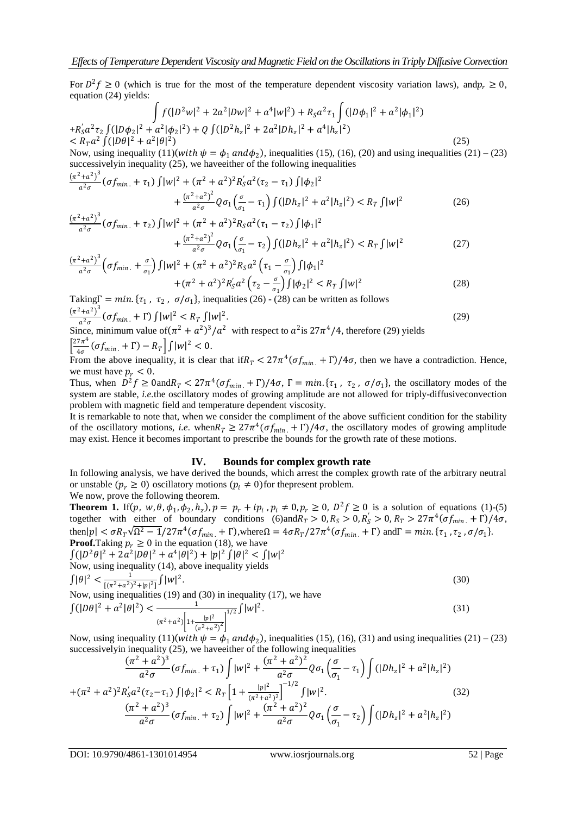For  $D^2 f \ge 0$  (which is true for the most of the temperature dependent viscosity variation laws), and  $p_r \ge 0$ , equation (24) yields:

$$
\int f(|D^2w|^2 + 2a^2|Dw|^2 + a^4|w|^2) + R_S a^2 \tau_1 \int (|D\phi_1|^2 + a^2|\phi_1|^2)
$$
  
+ $R_S a^2 \tau_2 \int (|D\phi_2|^2 + a^2|\phi_2|^2) + Q \int (|D^2h_z|^2 + 2a^2|Dh_z|^2 + a^4|h_z|^2)$   
<  $R_T a^2 \int (|D\theta|^2 + a^2|\theta|^2)$  (25)  
Now using inequality (11) (with  $h$ ), in equality (15) (16) (20) and using in equality (21).

Now, using inequality  $(11)(with \psi = \phi_1 \text{ and } \phi_2)$ , inequalities (15), (16), (20) and using inequalities (21) – (23) successivelyin inequality (25), we haveeither of the following inequalities

$$
\frac{(\pi^2 + a^2)^3}{a^2 \sigma} (\sigma f_{min.} + \tau_1) \int |w|^2 + (\pi^2 + a^2)^2 R'_S a^2 (\tau_2 - \tau_1) \int |\phi_2|^2 + \frac{(\pi^2 + a^2)^2}{a^2 \sigma} Q \sigma_1 \left(\frac{\sigma}{\sigma_1} - \tau_1\right) \int (|Dh_z|^2 + a^2 |h_z|^2) < R_T \int |w|^2 \tag{26}
$$

$$
\frac{(\pi^2 + a^2)^3}{a^2 \sigma} \left( \sigma f_{min.} + \tau_2 \right) \int |w|^2 + (\pi^2 + a^2)^2 R_S a^2 (\tau_1 - \tau_2) \int |\phi_1|^2 + \frac{(\pi^2 + a^2)^2}{a^2 \sigma} Q \sigma_1 \left( \frac{\sigma}{\sigma_1} - \tau_2 \right) \int (|Dh_z|^2 + a^2 |h_z|^2) < R_T \int |w|^2 \tag{27}
$$

$$
\frac{\left(\pi^{2}+a^{2}\right)^{3}}{a^{2}\sigma}\left(\sigma f_{min.}+\frac{\sigma}{\sigma_{1}}\right)\int |w|^{2}+\left(\pi^{2}+a^{2}\right)^{2}R_{S}a^{2}\left(\tau_{1}-\frac{\sigma}{\sigma_{1}}\right)\int |\phi_{1}|^{2} +\left(\pi^{2}+a^{2}\right)^{2}R_{S}'a^{2}\left(\tau_{2}-\frac{\sigma}{\sigma_{1}}\right)\int |\phi_{2}|^{2} < R_{T}\int |w|^{2} \tag{28}
$$

Taking  $\Gamma = min$ . { $\tau_1$ ,  $\tau_2$ ,  $\sigma/\sigma_1$ }, inequalities (26) - (28) can be written as follows  $(\pi^2 + a^2)^3$  $\frac{1+a^2}{a^2\sigma} \left( \sigma f_{min.} + \Gamma \right) \int |w|^2 \leq R_T \int |w|^2$ .  $(29)$ 

$$
\frac{a^2 \sigma}{2\pi^4} \left( \frac{\sigma}{m} \right) \text{ with respect to } a^2 \text{ is } 27\pi^4 / 4 \text{, therefore (29) yields}
$$
  

$$
\frac{27\pi^4}{4\pi} \left( \sigma f_{\text{min.}} + \Gamma \right) - R_T \left| \int |w|^2 < 0.
$$

From the above inequality, it is clear that if  $R_T < 27\pi^4(\sigma f_{min.} + \Gamma)/4\sigma$ , then we have a contradiction. Hence, we must have  $p_r < 0$ .

Thus, when  $D^2 f \ge 0$  and  $R_T < 27\pi^4(\sigma f_{min.} + \Gamma)/4\sigma$ ,  $\Gamma = min$ .  $\{\tau_1, \tau_2, \sigma/\sigma_1\}$ , the oscillatory modes of the system are stable, *i.e.*the oscillatory modes of growing amplitude are not allowed for triply-diffusiveconvection problem with magnetic field and temperature dependent viscosity.

It is remarkable to note that, when we consider the compliment of the above sufficient condition for the stability of the oscillatory motions, *i.e.* when  $R_T \geq 27\pi^4(\sigma f_{min.} + \Gamma)/4\sigma$ , the oscillatory modes of growing amplitude may exist. Hence it becomes important to prescribe the bounds for the growth rate of these motions.

## **IV. Bounds for complex growth rate**

In following analysis, we have derived the bounds, which arrest the complex growth rate of the arbitrary neutral or unstable  $(p_r \ge 0)$  oscillatory motions  $(p_i \ne 0)$  for the present problem. We now, prove the following theorem.

**Theorem 1.** If  $(p, w, \theta, \phi_1, \phi_2, h_z)$ ,  $p = p_r + ip_i$ ,  $p_i \neq 0$ ,  $p_r \geq 0$ ,  $D^2 f \geq 0$  is a solution of equations (1)-(5) together with either of boundary conditions (6)and  $R_T > 0$ ,  $R_S > 0$ ,  $R_S > 0$ ,  $R_T > 27\pi^4(\sigma f_{min.} + \Gamma)/4\sigma$ , then  $|p| < \sigma R_T \sqrt{\Omega^2 - 1}/27\pi^4(\sigma f_{min.} + \Gamma)$ , where  $\Omega = 4\sigma R_T/27\pi^4(\sigma f_{min.} + \Gamma)$  and  $\Gamma = min. \{\tau_1, \tau_2, \sigma/\sigma_1\}$ . **Proof.**Taking  $p_r \geq 0$  in the equation (18), we have

 $\int ( |D^2 \theta|^2 + 2a^2 |D\theta|^2 + a^4 |\theta|^2 ) + |p|^2 \int |\theta|^2 < \int |w|^2$ Now, using inequality (14), above inequality yields  $\int |\theta|^2 < \frac{1}{\sqrt{2} \sqrt{2}}$  $\frac{1}{[(\pi^2+a^2)^2+|p|^2]} \int |w|^2$ .  $(30)$ 

Now, using inequalities (19) and (30) in inequality (17), we have

$$
\int (|D\theta|^2 + a^2 |\theta|^2) < \frac{1}{(\pi^2 + a^2) \left[1 + \frac{|p|^2}{(\pi^2 + a^2)^2}\right]^{1/2}} \int |w|^2. \tag{31}
$$

Now, using inequality  $(11)(with \psi = \phi_1 \text{ and } \phi_2)$ , inequalities (15), (16), (31) and using inequalities (21) – (23) successively in inequality (25), we have either of the following inequalities<br> $(\pi^2 + a^2)^3$ 

$$
\frac{(\pi^2 + a^2)^3}{a^2 \sigma} (\sigma f_{min.} + \tau_1) \int |w|^2 + \frac{(\pi^2 + a^2)^2}{a^2 \sigma} Q \sigma_1 \left(\frac{\sigma}{\sigma_1} - \tau_1\right) \int (|Dh_z|^2 + a^2 |h_z|^2)
$$
  
+
$$
(\pi^2 + a^2)^2 R'_s a^2 (\tau_2 - \tau_1) \int |\phi_2|^2 < R_T \left[1 + \frac{|p|^2}{(\pi^2 + a^2)^2}\right]^{-1/2} \int |w|^2. \tag{32}
$$

$$
\frac{(\pi^2 + a^2)^3}{a^2 \sigma} (\sigma f_{min.} + \tau_2) \int |w|^2 + \frac{(\pi^2 + a^2)^2}{a^2 \sigma} Q \sigma_1 \left(\frac{\sigma}{\sigma_1} - \tau_2\right) \int (|Dh_z|^2 + a^2 |h_z|^2)
$$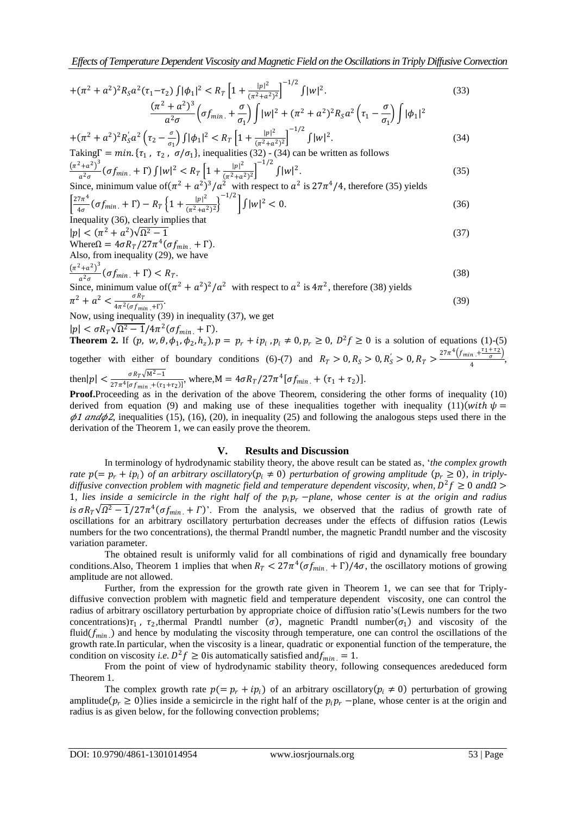*Effects of Temperature Dependent Viscosity and Magnetic Field on the Oscillations in Triply Diffusive Convection*

+ <sup>2</sup> + 2 <sup>2</sup> 2 1−<sup>2</sup> <sup>1</sup> <sup>2</sup> < 1 + 2 2+ 2 2 −1/2 2 . (33) <sup>2</sup> + 2 3 2 . + 1 <sup>2</sup> + <sup>2</sup> + 2 <sup>2</sup> 2 <sup>1</sup> − 1 <sup>1</sup> 2 2 −1/2

$$
+(\pi^2 + a^2)^2 R'_5 a^2 \left(\tau_2 - \frac{\sigma}{\sigma_1}\right) \int |\phi_1|^2 < R_T \left[1 + \frac{|p|^2}{(\pi^2 + a^2)^2}\right]^{-1/2} \int |w|^2.
$$
\nTaking  $\Gamma = \min. \{\tau_1, \tau_2, \sigma/\sigma_1\}$ , inequalities (32) - (34) can be written as follows

$$
\frac{(\pi^2 + a^2)^3}{a^2 \sigma^2} (\sigma f_{\min} + \Gamma) \int |w|^2 < R_T \left[ 1 + \frac{|p|^2}{(\pi^2 + a^2)^2} \right]^{-1/2} \int |w|^2.
$$
\n
$$
\frac{(\pi^2 + a^2)^3}{\sigma^2} (\sigma f_{\min} + \Gamma) \int |w|^2 < R_T \left[ 1 + \frac{|p|^2}{(\pi^2 + a^2)^2} \right]^{-1/2} \int |w|^2.
$$
\n(35)

Since, minimum value of 
$$
(\pi^2 + a^2)^3/a^2
$$
 with respect to  $a^2$  is  $27\pi^4/4$ , therefore (35) yields\n
$$
\left[\frac{27\pi^4}{4\sigma}(\sigma f_{\min.} + \Gamma) - R_T \left\{1 + \frac{|p|^2}{(\pi^2 + a^2)^2}\right\}^{-1/2}\right] \int |w|^2 < 0.
$$
\n(36)

Inequality (36), clearly implies that  
\n
$$
|p| < (\pi^2 + a^2)\sqrt{\Omega^2 - 1}
$$
 (37)

$$
|\rho| < (n + d) \text{Vs1} - 1
$$
\n
$$
\text{Where } \Omega = 4\sigma R_T / 27\pi^4 (\sigma f_{\text{min.}} + \Gamma).
$$
\nAlso, from inequality (29), we have\n
$$
\frac{(\pi^2 + a^2)^3}{a^2 \sigma^2} (\sigma f_{\text{min.}} + \Gamma) < R_T.
$$
\n
$$
(38)
$$

$$
a^{2}\sigma
$$
 (U/min. + 1)  $\sim$   $\pi$ .\n  
Since, minimum value of  $(\pi^{2} + a^{2})^{2}/a^{2}$  with respect to  $a^{2}$  is  $4\pi^{2}$ , therefore (38) yields\n
$$
\pi^{2} + a^{2} < \frac{\sigma R_{T}}{4\pi^{2}/(\pi\epsilon - 1)^{2}}
$$
.\n(39)

4 <sup>2</sup> .+Γ Now, using inequality (39) in inequality (37), we get

$$
|p| < \sigma R_T \sqrt{\Omega^2 - 1/4\pi^2} (\sigma f_{\min} + \Gamma).
$$

**Theorem 2.** If  $(p, w, \theta, \phi_1, \phi_2, h_z)$ ,  $p = p_r + ip_i$ ,  $p_i \neq 0$ ,  $p_r \geq 0$ ,  $D^2 f \geq 0$  is a solution of equations (1)-(5) together with either of boundary conditions (6)-(7) and  $R_T > 0, R_S > 0, R_S' > 0, R_T > \frac{27\pi^4 \left(f_{min} + \frac{r_1 + r_2}{\sigma}\right)}{\Delta}$  $\frac{\pi + \sigma}{4}$ , then  $|p| < \frac{\sigma R_T \sqrt{M^2-1}}{27-4L_f}$  $\frac{\sigma R_T v M^2 - 1}{27 \pi^4 [\sigma f_{min.} + (\tau_1 + \tau_2)]}$ , where,  $M = 4 \sigma R_T / 27 \pi^4 [\sigma f_{min.} + (\tau_1 + \tau_2)].$ 

**Proof.**Proceeding as in the derivation of the above Theorem, considering the other forms of inequality (10) derived from equation (9) and making use of these inequalities together with inequality (11)  $(with \psi =$  $\phi$ 1 and $\phi$ 2, inequalities (15), (16), (20), in inequality (25) and following the analogous steps used there in the derivation of the Theorem 1, we can easily prove the theorem.

## **V. Results and Discussion**

In terminology of hydrodynamic stability theory, the above result can be stated as, "*the complex growth rate*  $p(= p_r + ip_i)$  *of an arbitrary oscillatory*( $p_i \neq 0$ ) *perturbation of growing amplitude* ( $p_r \geq 0$ ), *in triply*diffusive convection problem with magnetic field and temperature dependent viscosity, when,  $D^2 f \geq 0$  and $\Omega$  > 1, lies inside a semicircle in the right half of the  $p_i p_r$  −*plane, whose center is at the origin and radius is*  $\sigma R_T \sqrt{\Omega^2 - 1}/27\pi^4 (\sigma f_{min.} + \Gamma)$ . From the analysis, we observed that the radius of growth rate of oscillations for an arbitrary oscillatory perturbation decreases under the effects of diffusion ratios (Lewis numbers for the two concentrations), the thermal Prandtl number, the magnetic Prandtl number and the viscosity variation parameter.

The obtained result is uniformly valid for all combinations of rigid and dynamically free boundary conditions. Also, Theorem 1 implies that when  $R_T < 27\pi^4(\sigma f_{min.} + \Gamma)/4\sigma$ , the oscillatory motions of growing amplitude are not allowed.

Further, from the expression for the growth rate given in Theorem 1, we can see that for Triplydiffusive convection problem with magnetic field and temperature dependent viscosity, one can control the radius of arbitrary oscillatory perturbation by appropriate choice of diffusion ratio"s(Lewis numbers for the two concentrations) $\tau_1$ ,  $\tau_2$ , thermal Prandtl number ( $\sigma$ ), magnetic Prandtl number( $\sigma_1$ ) and viscosity of the fluid $(f_{min})$  and hence by modulating the viscosity through temperature, one can control the oscillations of the growth rate.In particular, when the viscosity is a linear, quadratic or exponential function of the temperature, the condition on viscosity *i.e.*  $D^2 f \ge 0$  is automatically satisfied and  $f_{min} = 1$ .

From the point of view of hydrodynamic stability theory, following consequences arededuced form Theorem 1.

The complex growth rate  $p = p_r + i p_i$  of an arbitrary oscillatory  $(p_i \neq 0)$  perturbation of growing amplitude  $(p_r \ge 0)$  lies inside a semicircle in the right half of the  $p_i p_r$  –plane, whose center is at the origin and radius is as given below, for the following convection problems;